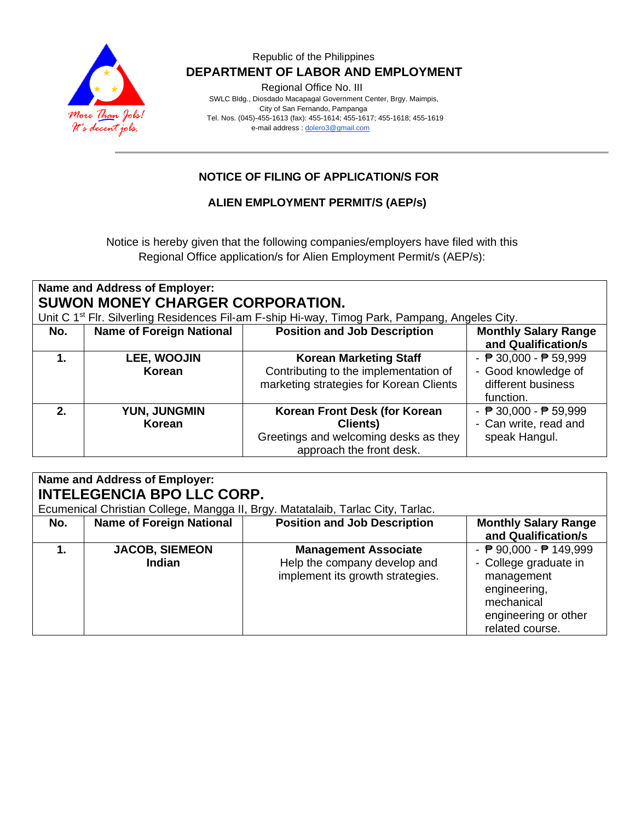

# Republic of the Philippines  **DEPARTMENT OF LABOR AND EMPLOYMENT**

Regional Office No. III

 SWLC Bldg., Diosdado Macapagal Government Center, Brgy. Maimpis, City of San Fernando, Pampanga Tel. Nos. (045)-455-1613 (fax): 455-1614; 455-1617; 455-1618; 455-1619 e-mail address [: dolero3@gmail.com](mailto:dolero3@gmail.com)

# **NOTICE OF FILING OF APPLICATION/S FOR**

**ALIEN EMPLOYMENT PERMIT/S (AEP/s)**

Notice is hereby given that the following companies/employers have filed with this Regional Office application/s for Alien Employment Permit/s (AEP/s):

| Name and Address of Employer:<br>SUWON MONEY CHARGER CORPORATION. |                                 |                                                                                                                                                   |                                                                                                           |
|-------------------------------------------------------------------|---------------------------------|---------------------------------------------------------------------------------------------------------------------------------------------------|-----------------------------------------------------------------------------------------------------------|
| No.                                                               | <b>Name of Foreign National</b> | Unit C 1 <sup>st</sup> Flr. Silverling Residences Fil-am F-ship Hi-way, Timog Park, Pampang, Angeles City.<br><b>Position and Job Description</b> | <b>Monthly Salary Range</b><br>and Qualification/s                                                        |
|                                                                   | LEE, WOOJIN<br>Korean           | <b>Korean Marketing Staff</b><br>Contributing to the implementation of<br>marketing strategies for Korean Clients                                 | - $\overline{P}$ 30,000 - $\overline{P}$ 59,999<br>- Good knowledge of<br>different business<br>function. |
| $2_{-}$                                                           | YUN, JUNGMIN<br>Korean          | Korean Front Desk (for Korean<br>Clients)<br>Greetings and welcoming desks as they<br>approach the front desk.                                    | - $\overline{P}$ 30,000 - $\overline{P}$ 59,999<br>- Can write, read and<br>speak Hangul.                 |

| Name and Address of Employer:     |                                        |                                                                                                 |                                                                                                                                        |
|-----------------------------------|----------------------------------------|-------------------------------------------------------------------------------------------------|----------------------------------------------------------------------------------------------------------------------------------------|
| <b>INTELEGENCIA BPO LLC CORP.</b> |                                        |                                                                                                 |                                                                                                                                        |
|                                   |                                        | Ecumenical Christian College, Mangga II, Brgy. Matatalaib, Tarlac City, Tarlac.                 |                                                                                                                                        |
| No.                               | <b>Name of Foreign National</b>        | <b>Position and Job Description</b>                                                             | <b>Monthly Salary Range</b><br>and Qualification/s                                                                                     |
|                                   | <b>JACOB, SIEMEON</b><br><b>Indian</b> | <b>Management Associate</b><br>Help the company develop and<br>implement its growth strategies. | - ₱ 90,000 - ₱ 149,999<br>- College graduate in<br>management<br>engineering,<br>mechanical<br>engineering or other<br>related course. |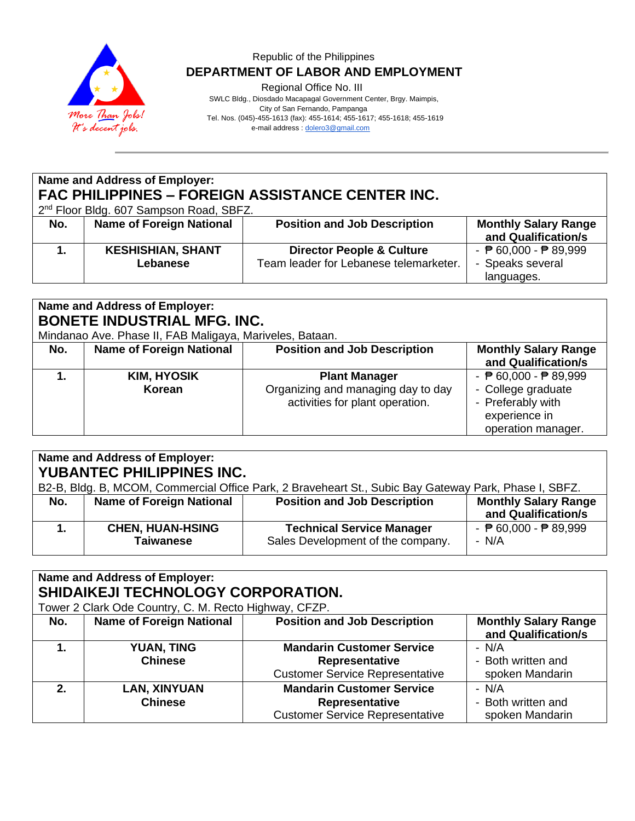

# Republic of the Philippines  **DEPARTMENT OF LABOR AND EMPLOYMENT**

Regional Office No. III

 SWLC Bldg., Diosdado Macapagal Government Center, Brgy. Maimpis, City of San Fernando, Pampanga

Tel. Nos. (045)-455-1613 (fax): 455-1614; 455-1617; 455-1618; 455-1619

e-mail address [: dolero3@gmail.com](mailto:dolero3@gmail.com)

# **Name and Address of Employer: FAC PHILIPPINES – FOREIGN ASSISTANCE CENTER INC.**

2<sup>nd</sup> Floor Bldg. 607 Sampson Road, SBFZ.

| No. | <b>Name of Foreign National</b>      | <b>Position and Job Description</b>                                            | <b>Monthly Salary Range</b><br>and Qualification/s                                |
|-----|--------------------------------------|--------------------------------------------------------------------------------|-----------------------------------------------------------------------------------|
|     | <b>KESHISHIAN, SHANT</b><br>Lebanese | <b>Director People &amp; Culture</b><br>Team leader for Lebanese telemarketer. | - $\overline{P}$ 60,000 - $\overline{P}$ 89,999<br>- Speaks several<br>languages. |

## **Name and Address of Employer: BONETE INDUSTRIAL MFG. INC.**

Mindanao Ave. Phase II, FAB Maligaya, Mariveles, Bataan.

| No. | <b>Name of Foreign National</b> | <b>Position and Job Description</b>                                                           | <b>Monthly Salary Range</b><br>and Qualification/s                                                                                |
|-----|---------------------------------|-----------------------------------------------------------------------------------------------|-----------------------------------------------------------------------------------------------------------------------------------|
|     | <b>KIM, HYOSIK</b><br>Korean    | <b>Plant Manager</b><br>Organizing and managing day to day<br>activities for plant operation. | - $\overline{P}$ 60,000 - $\overline{P}$ 89,999<br>- College graduate<br>- Preferably with<br>experience in<br>operation manager. |

# **Name and Address of Employer: YUBANTEC PHILIPPINES INC.**

| B2-B, Bldg. B, MCOM, Commercial Office Park, 2 Braveheart St., Subic Bay Gateway Park, Phase I, SBFZ. |                                      |                                                                       |                                                          |
|-------------------------------------------------------------------------------------------------------|--------------------------------------|-----------------------------------------------------------------------|----------------------------------------------------------|
| No.                                                                                                   | <b>Name of Foreign National</b>      | <b>Position and Job Description</b>                                   | <b>Monthly Salary Range</b><br>and Qualification/s       |
|                                                                                                       | <b>CHEN, HUAN-HSING</b><br>Taiwanese | <b>Technical Service Manager</b><br>Sales Development of the company. | - $\overline{P}$ 60,000 - $\overline{P}$ 89,999<br>- N/A |

#### **Name and Address of Employer: SHIDAIKEJI TECHNOLOGY CORPORATION.** Tower 2 Clark Ode Country, C. M. Recto Highway, CFZP. **No. Name of Foreign National Position and Job Description | Monthly Salary Range and Qualification/s 1. YUAN, TING Chinese Mandarin Customer Service Representative** Customer Service Representative - N/A - Both written and spoken Mandarin **2. LAN, XINYUAN Chinese Mandarin Customer Service Representative** Customer Service Representative - N/A - Both written and spoken Mandarin